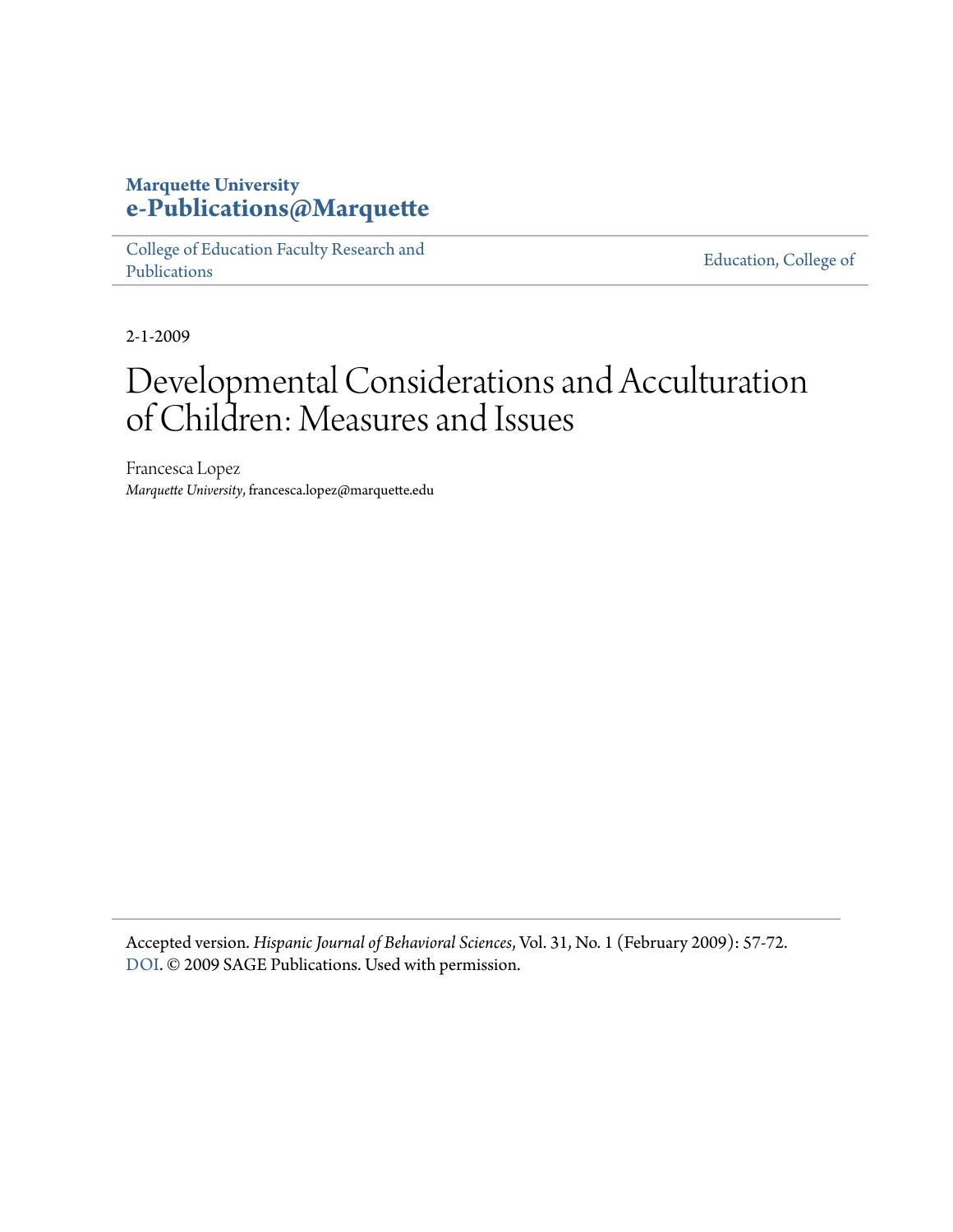# **Marquette University [e-Publications@Marquette](https://epublications.marquette.edu)**

[College of Education Faculty Research and](https://epublications.marquette.edu/edu_fac) [Publications](https://epublications.marquette.edu/edu_fac)

[Education, College of](https://epublications.marquette.edu/education)

2-1-2009

# Developmental Considerations and Acculturation of Children: Measures and Issues

Francesca Lopez *Marquette University*, francesca.lopez@marquette.edu

Accepted version. *Hispanic Journal of Behavioral Sciences*, Vol. 31, No. 1 (February 2009): 57-72. [DOI](http://dx.doi.org/10.1177/0739986308327958). © 2009 SAGE Publications. Used with permission.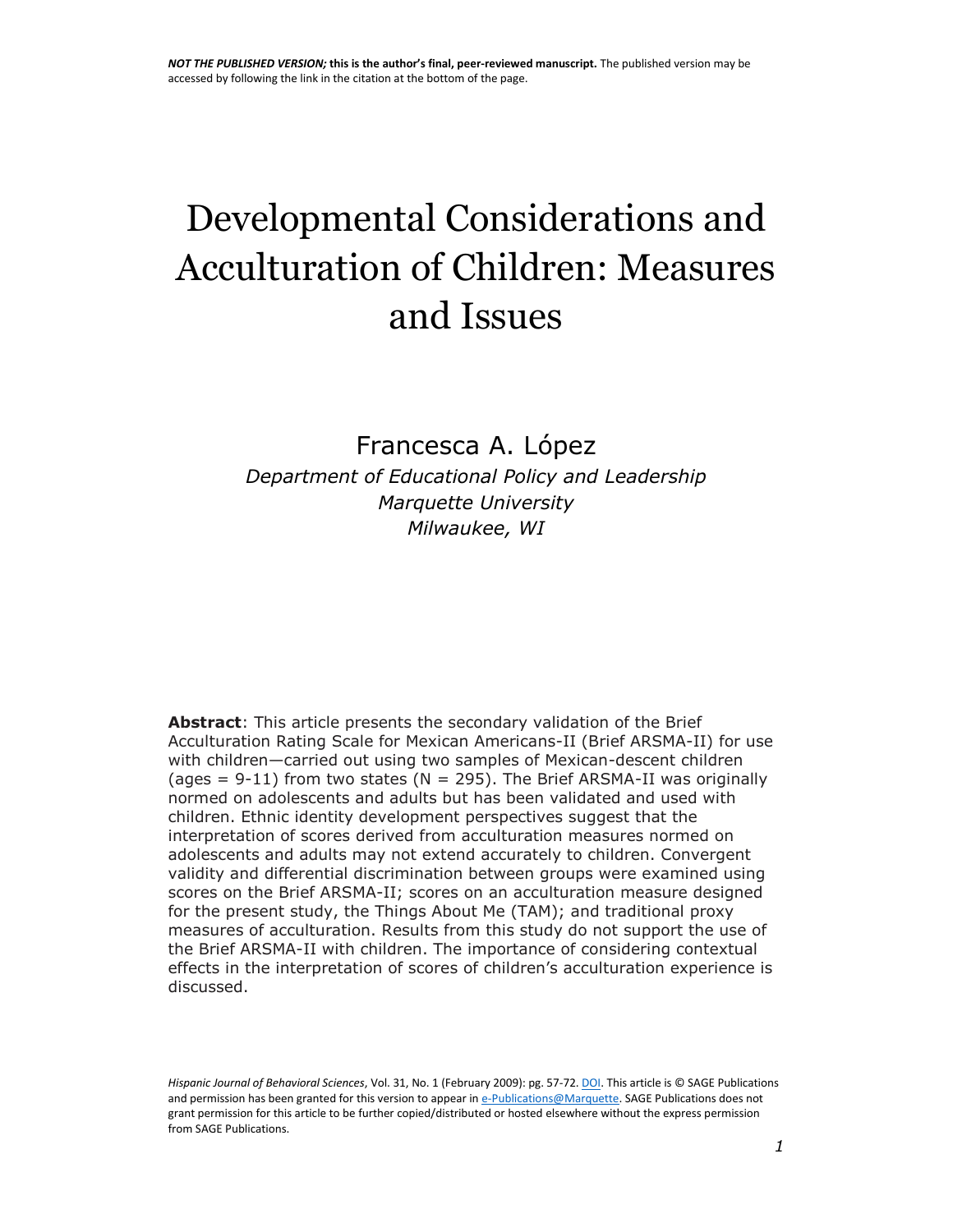# Developmental Considerations and Acculturation of Children: Measures and Issues

# Francesca A. López *Department of Educational Policy and Leadership Marquette University Milwaukee, WI*

**Abstract**: This article presents the secondary validation of the Brief Acculturation Rating Scale for Mexican Americans-II (Brief ARSMA-II) for use with children—carried out using two samples of Mexican-descent children (ages =  $9-11$ ) from two states (N = 295). The Brief ARSMA-II was originally normed on adolescents and adults but has been validated and used with children. Ethnic identity development perspectives suggest that the interpretation of scores derived from acculturation measures normed on adolescents and adults may not extend accurately to children. Convergent validity and differential discrimination between groups were examined using scores on the Brief ARSMA-II; scores on an acculturation measure designed for the present study, the Things About Me (TAM); and traditional proxy measures of acculturation. Results from this study do not support the use of the Brief ARSMA-II with children. The importance of considering contextual effects in the interpretation of scores of children's acculturation experience is discussed.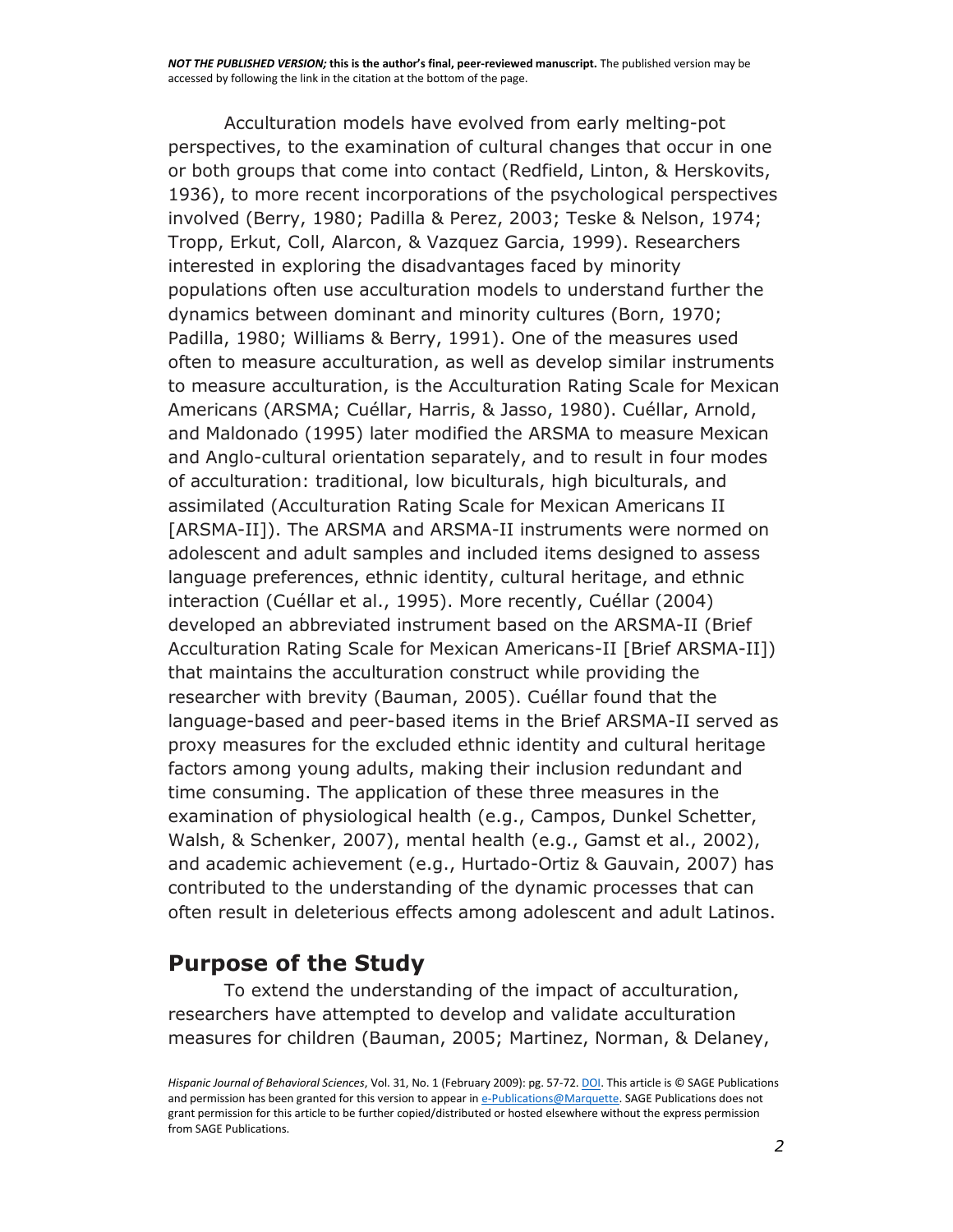Acculturation models have evolved from early melting-pot perspectives, to the examination of cultural changes that occur in one or both groups that come into contact (Redfield, Linton, & Herskovits, 1936), to more recent incorporations of the psychological perspectives involved (Berry, 1980; Padilla & Perez, 2003; Teske & Nelson, 1974; Tropp, Erkut, Coll, Alarcon, & Vazquez Garcia, 1999). Researchers interested in exploring the disadvantages faced by minority populations often use acculturation models to understand further the dynamics between dominant and minority cultures (Born, 1970; Padilla, 1980; Williams & Berry, 1991). One of the measures used often to measure acculturation, as well as develop similar instruments to measure acculturation, is the Acculturation Rating Scale for Mexican Americans (ARSMA; Cuéllar, Harris, & Jasso, 1980). Cuéllar, Arnold, and Maldonado (1995) later modified the ARSMA to measure Mexican and Anglo-cultural orientation separately, and to result in four modes of acculturation: traditional, low biculturals, high biculturals, and assimilated (Acculturation Rating Scale for Mexican Americans II [ARSMA-II]). The ARSMA and ARSMA-II instruments were normed on adolescent and adult samples and included items designed to assess language preferences, ethnic identity, cultural heritage, and ethnic interaction (Cuéllar et al., 1995). More recently, Cuéllar (2004) developed an abbreviated instrument based on the ARSMA-II (Brief Acculturation Rating Scale for Mexican Americans-II [Brief ARSMA-II]) that maintains the acculturation construct while providing the researcher with brevity (Bauman, 2005). Cuéllar found that the language-based and peer-based items in the Brief ARSMA-II served as proxy measures for the excluded ethnic identity and cultural heritage factors among young adults, making their inclusion redundant and time consuming. The application of these three measures in the examination of physiological health (e.g., Campos, Dunkel Schetter, Walsh, & Schenker, 2007), mental health (e.g., Gamst et al., 2002), and academic achievement (e.g., Hurtado-Ortiz & Gauvain, 2007) has contributed to the understanding of the dynamic processes that can often result in deleterious effects among adolescent and adult Latinos.

### **Purpose of the Study**

To extend the understanding of the impact of acculturation, researchers have attempted to develop and validate acculturation measures for children (Bauman, 2005; Martinez, Norman, & Delaney,

*Hispanic Journal of Behavioral Sciences*, Vol. 31, No. 1 (February 2009): pg. 57-72[. DOI.](http://dx.doi.org/10.1177/0739986308327958) This article is © SAGE Publications and permission has been granted for this version to appear i[n e-Publications@Marquette.](http://epublications.marquette.edu/) SAGE Publications does not grant permission for this article to be further copied/distributed or hosted elsewhere without the express permission from SAGE Publications.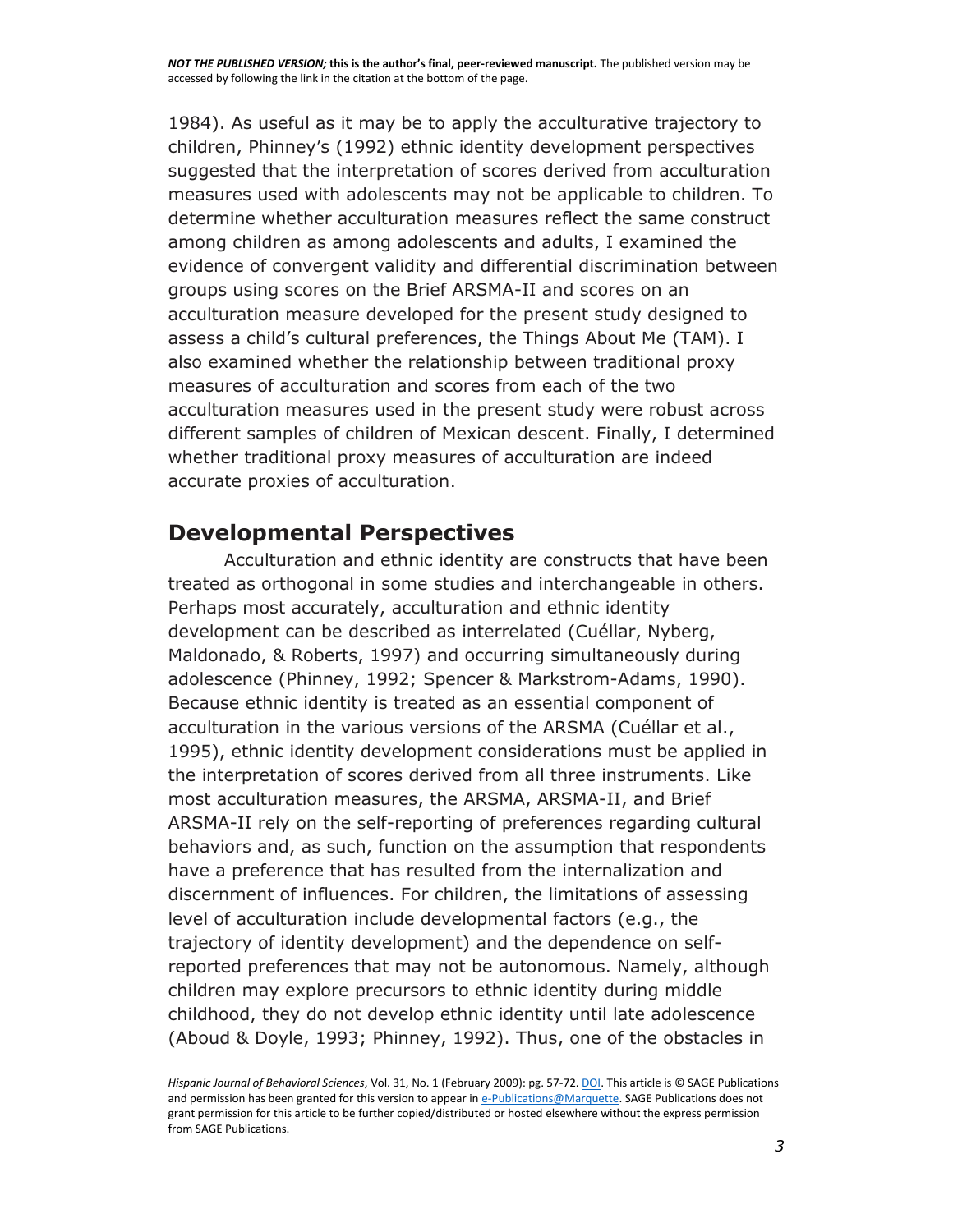1984). As useful as it may be to apply the acculturative trajectory to children, Phinney's (1992) ethnic identity development perspectives suggested that the interpretation of scores derived from acculturation measures used with adolescents may not be applicable to children. To determine whether acculturation measures reflect the same construct among children as among adolescents and adults, I examined the evidence of convergent validity and differential discrimination between groups using scores on the Brief ARSMA-II and scores on an acculturation measure developed for the present study designed to assess a child's cultural preferences, the Things About Me (TAM). I also examined whether the relationship between traditional proxy measures of acculturation and scores from each of the two acculturation measures used in the present study were robust across different samples of children of Mexican descent. Finally, I determined whether traditional proxy measures of acculturation are indeed accurate proxies of acculturation.

# **Developmental Perspectives**

Acculturation and ethnic identity are constructs that have been treated as orthogonal in some studies and interchangeable in others. Perhaps most accurately, acculturation and ethnic identity development can be described as interrelated (Cuéllar, Nyberg, Maldonado, & Roberts, 1997) and occurring simultaneously during adolescence (Phinney, 1992; Spencer & Markstrom-Adams, 1990). Because ethnic identity is treated as an essential component of acculturation in the various versions of the ARSMA (Cuéllar et al., 1995), ethnic identity development considerations must be applied in the interpretation of scores derived from all three instruments. Like most acculturation measures, the ARSMA, ARSMA-II, and Brief ARSMA-II rely on the self-reporting of preferences regarding cultural behaviors and, as such, function on the assumption that respondents have a preference that has resulted from the internalization and discernment of influences. For children, the limitations of assessing level of acculturation include developmental factors (e.g., the trajectory of identity development) and the dependence on selfreported preferences that may not be autonomous. Namely, although children may explore precursors to ethnic identity during middle childhood, they do not develop ethnic identity until late adolescence (Aboud & Doyle, 1993; Phinney, 1992). Thus, one of the obstacles in

*Hispanic Journal of Behavioral Sciences*, Vol. 31, No. 1 (February 2009): pg. 57-72[. DOI.](http://dx.doi.org/10.1177/0739986308327958) This article is © SAGE Publications and permission has been granted for this version to appear i[n e-Publications@Marquette.](http://epublications.marquette.edu/) SAGE Publications does not grant permission for this article to be further copied/distributed or hosted elsewhere without the express permission from SAGE Publications.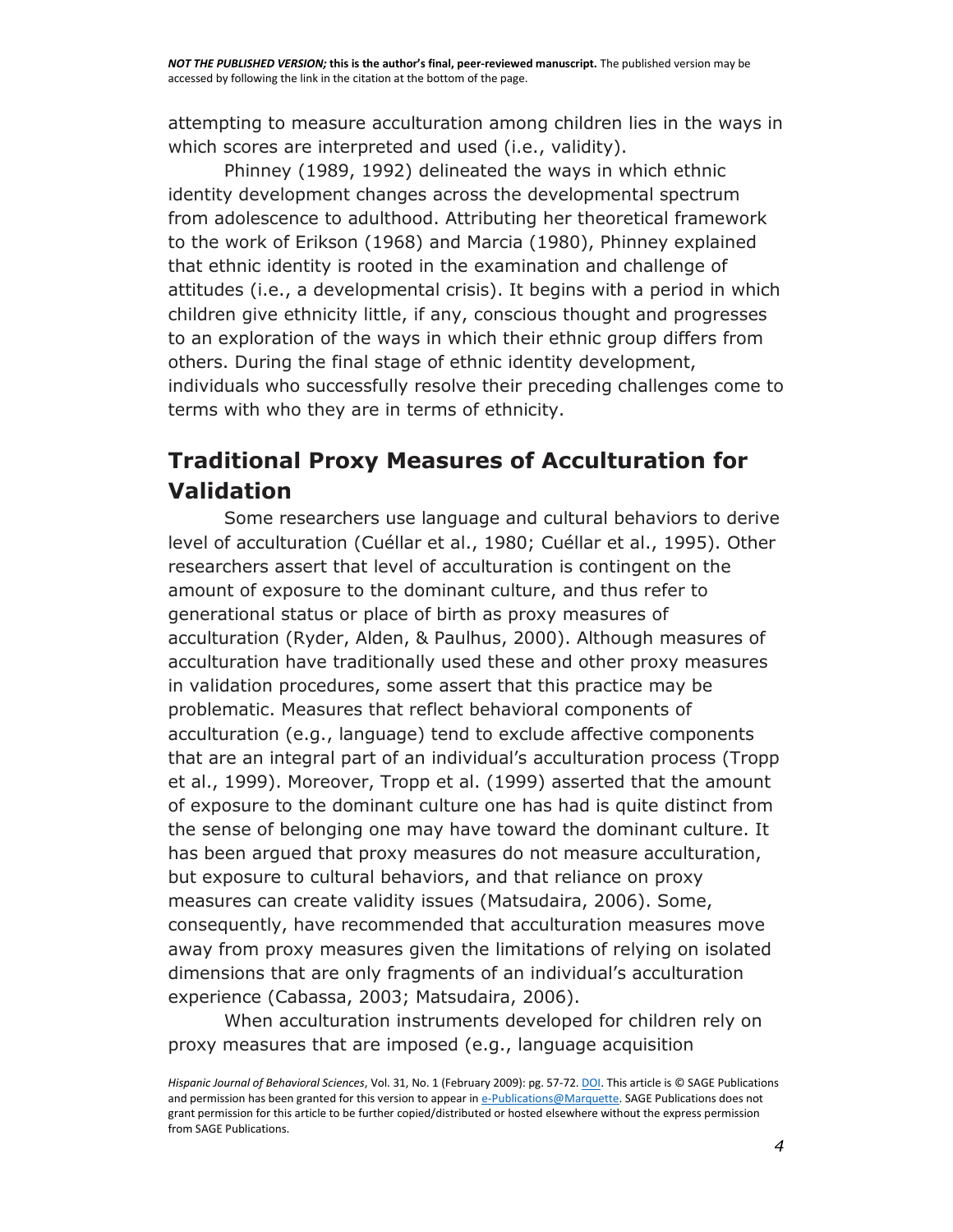attempting to measure acculturation among children lies in the ways in which scores are interpreted and used (i.e., validity).

Phinney (1989, 1992) delineated the ways in which ethnic identity development changes across the developmental spectrum from adolescence to adulthood. Attributing her theoretical framework to the work of Erikson (1968) and Marcia (1980), Phinney explained that ethnic identity is rooted in the examination and challenge of attitudes (i.e., a developmental crisis). It begins with a period in which children give ethnicity little, if any, conscious thought and progresses to an exploration of the ways in which their ethnic group differs from others. During the final stage of ethnic identity development, individuals who successfully resolve their preceding challenges come to terms with who they are in terms of ethnicity.

# **Traditional Proxy Measures of Acculturation for Validation**

Some researchers use language and cultural behaviors to derive level of acculturation (Cuéllar et al., 1980; Cuéllar et al., 1995). Other researchers assert that level of acculturation is contingent on the amount of exposure to the dominant culture, and thus refer to generational status or place of birth as proxy measures of acculturation (Ryder, Alden, & Paulhus, 2000). Although measures of acculturation have traditionally used these and other proxy measures in validation procedures, some assert that this practice may be problematic. Measures that reflect behavioral components of acculturation (e.g., language) tend to exclude affective components that are an integral part of an individual's acculturation process (Tropp et al., 1999). Moreover, Tropp et al. (1999) asserted that the amount of exposure to the dominant culture one has had is quite distinct from the sense of belonging one may have toward the dominant culture. It has been argued that proxy measures do not measure acculturation, but exposure to cultural behaviors, and that reliance on proxy measures can create validity issues (Matsudaira, 2006). Some, consequently, have recommended that acculturation measures move away from proxy measures given the limitations of relying on isolated dimensions that are only fragments of an individual's acculturation experience (Cabassa, 2003; Matsudaira, 2006).

When acculturation instruments developed for children rely on proxy measures that are imposed (e.g., language acquisition

*Hispanic Journal of Behavioral Sciences*, Vol. 31, No. 1 (February 2009): pg. 57-72[. DOI.](http://dx.doi.org/10.1177/0739986308327958) This article is © SAGE Publications and permission has been granted for this version to appear i[n e-Publications@Marquette.](http://epublications.marquette.edu/) SAGE Publications does not grant permission for this article to be further copied/distributed or hosted elsewhere without the express permission from SAGE Publications.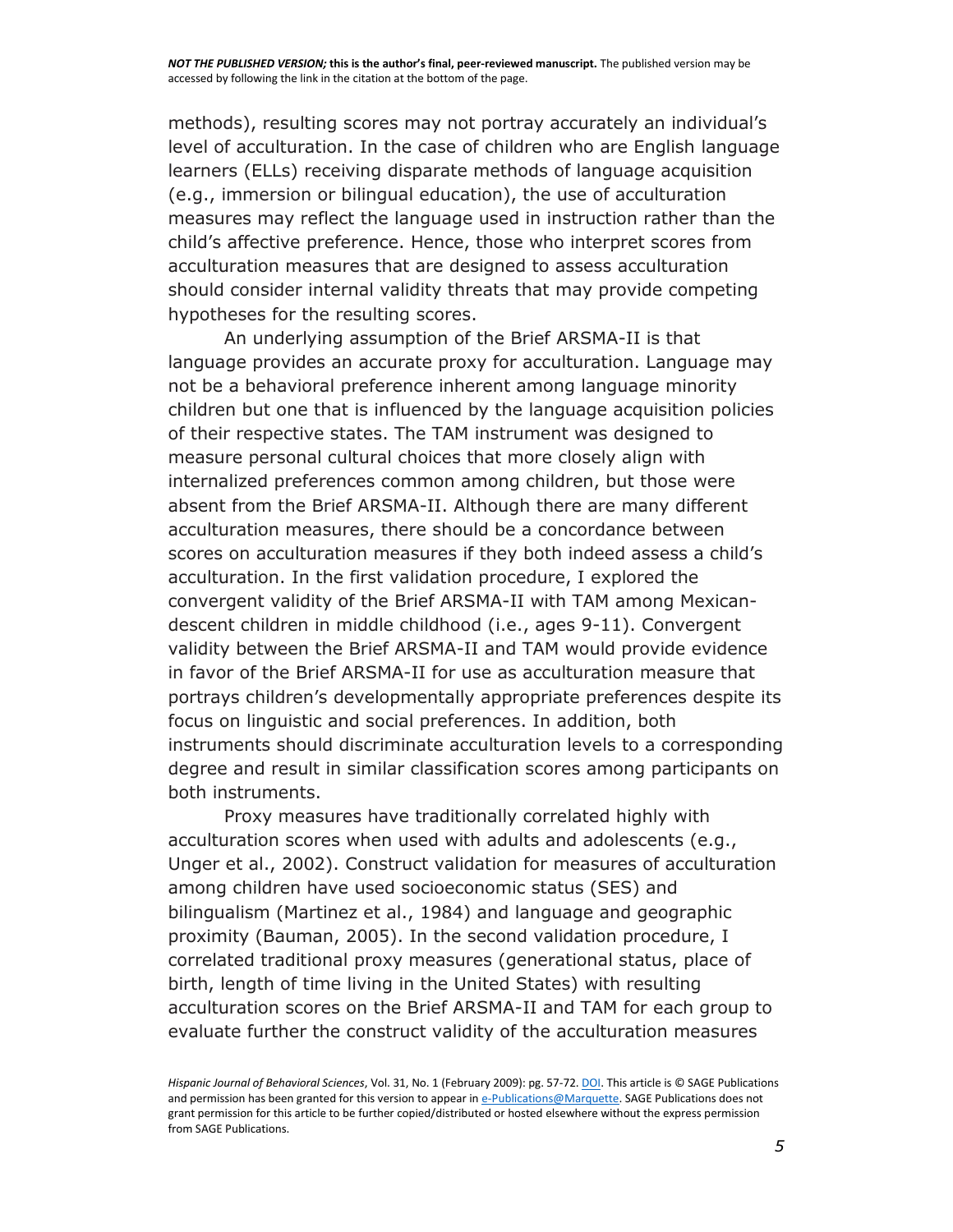methods), resulting scores may not portray accurately an individual's level of acculturation. In the case of children who are English language learners (ELLs) receiving disparate methods of language acquisition (e.g., immersion or bilingual education), the use of acculturation measures may reflect the language used in instruction rather than the child's affective preference. Hence, those who interpret scores from acculturation measures that are designed to assess acculturation should consider internal validity threats that may provide competing hypotheses for the resulting scores.

An underlying assumption of the Brief ARSMA-II is that language provides an accurate proxy for acculturation. Language may not be a behavioral preference inherent among language minority children but one that is influenced by the language acquisition policies of their respective states. The TAM instrument was designed to measure personal cultural choices that more closely align with internalized preferences common among children, but those were absent from the Brief ARSMA-II. Although there are many different acculturation measures, there should be a concordance between scores on acculturation measures if they both indeed assess a child's acculturation. In the first validation procedure, I explored the convergent validity of the Brief ARSMA-II with TAM among Mexicandescent children in middle childhood (i.e., ages 9-11). Convergent validity between the Brief ARSMA-II and TAM would provide evidence in favor of the Brief ARSMA-II for use as acculturation measure that portrays children's developmentally appropriate preferences despite its focus on linguistic and social preferences. In addition, both instruments should discriminate acculturation levels to a corresponding degree and result in similar classification scores among participants on both instruments.

Proxy measures have traditionally correlated highly with acculturation scores when used with adults and adolescents (e.g., Unger et al., 2002). Construct validation for measures of acculturation among children have used socioeconomic status (SES) and bilingualism (Martinez et al., 1984) and language and geographic proximity (Bauman, 2005). In the second validation procedure, I correlated traditional proxy measures (generational status, place of birth, length of time living in the United States) with resulting acculturation scores on the Brief ARSMA-II and TAM for each group to evaluate further the construct validity of the acculturation measures

*Hispanic Journal of Behavioral Sciences*, Vol. 31, No. 1 (February 2009): pg. 57-72[. DOI.](http://dx.doi.org/10.1177/0739986308327958) This article is © SAGE Publications and permission has been granted for this version to appear i[n e-Publications@Marquette.](http://epublications.marquette.edu/) SAGE Publications does not grant permission for this article to be further copied/distributed or hosted elsewhere without the express permission from SAGE Publications.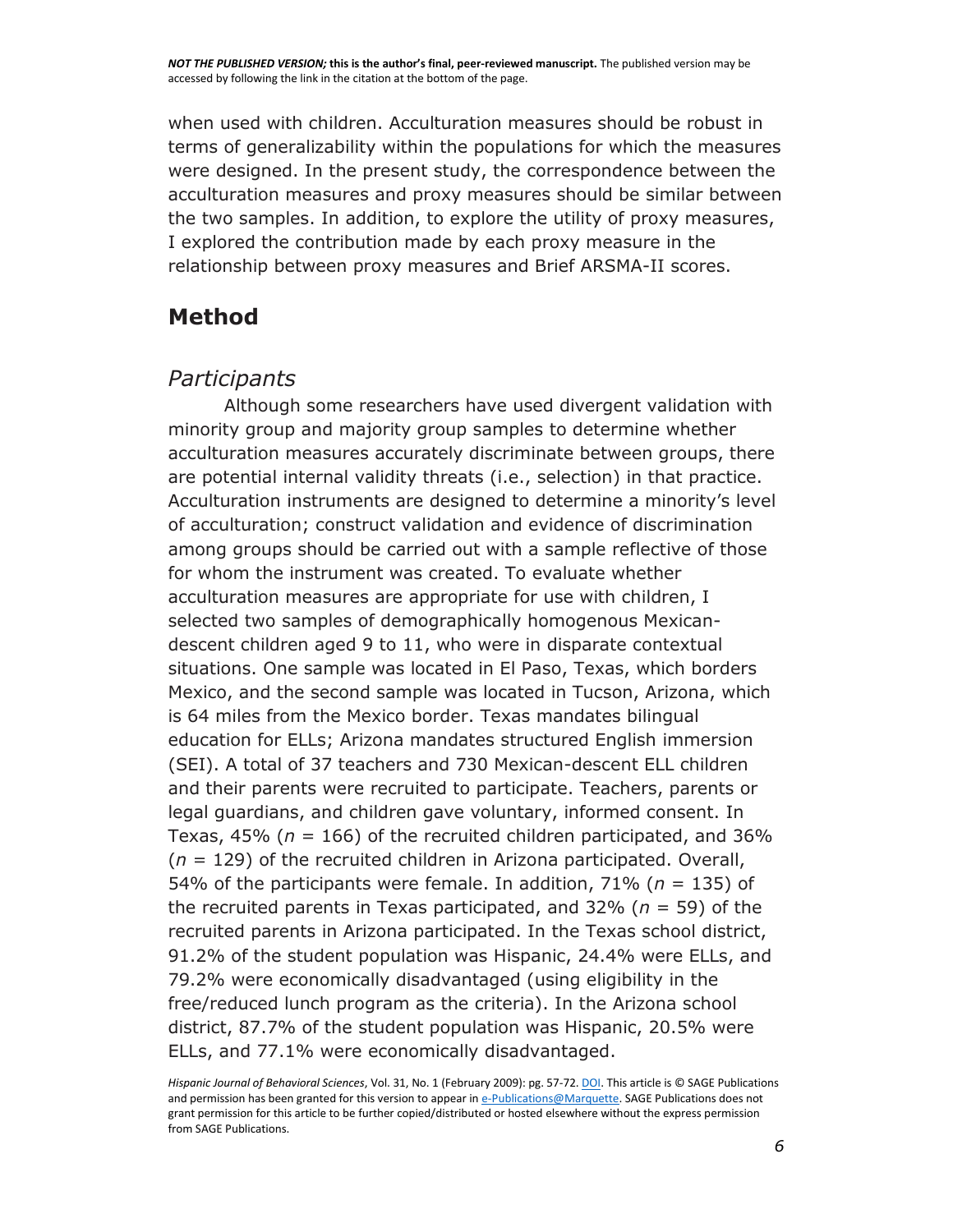when used with children. Acculturation measures should be robust in terms of generalizability within the populations for which the measures were designed. In the present study, the correspondence between the acculturation measures and proxy measures should be similar between the two samples. In addition, to explore the utility of proxy measures, I explored the contribution made by each proxy measure in the relationship between proxy measures and Brief ARSMA-II scores.

# **Method**

# *Participants*

Although some researchers have used divergent validation with minority group and majority group samples to determine whether acculturation measures accurately discriminate between groups, there are potential internal validity threats (i.e., selection) in that practice. Acculturation instruments are designed to determine a minority's level of acculturation; construct validation and evidence of discrimination among groups should be carried out with a sample reflective of those for whom the instrument was created. To evaluate whether acculturation measures are appropriate for use with children, I selected two samples of demographically homogenous Mexicandescent children aged 9 to 11, who were in disparate contextual situations. One sample was located in El Paso, Texas, which borders Mexico, and the second sample was located in Tucson, Arizona, which is 64 miles from the Mexico border. Texas mandates bilingual education for ELLs; Arizona mandates structured English immersion (SEI). A total of 37 teachers and 730 Mexican-descent ELL children and their parents were recruited to participate. Teachers, parents or legal guardians, and children gave voluntary, informed consent. In Texas, 45% (*n* = 166) of the recruited children participated, and 36% (*n* = 129) of the recruited children in Arizona participated. Overall, 54% of the participants were female. In addition, 71% (*n* = 135) of the recruited parents in Texas participated, and 32% (*n* = 59) of the recruited parents in Arizona participated. In the Texas school district, 91.2% of the student population was Hispanic, 24.4% were ELLs, and 79.2% were economically disadvantaged (using eligibility in the free/reduced lunch program as the criteria). In the Arizona school district, 87.7% of the student population was Hispanic, 20.5% were ELLs, and 77.1% were economically disadvantaged.

*Hispanic Journal of Behavioral Sciences*, Vol. 31, No. 1 (February 2009): pg. 57-72[. DOI.](http://dx.doi.org/10.1177/0739986308327958) This article is © SAGE Publications and permission has been granted for this version to appear i[n e-Publications@Marquette.](http://epublications.marquette.edu/) SAGE Publications does not grant permission for this article to be further copied/distributed or hosted elsewhere without the express permission from SAGE Publications.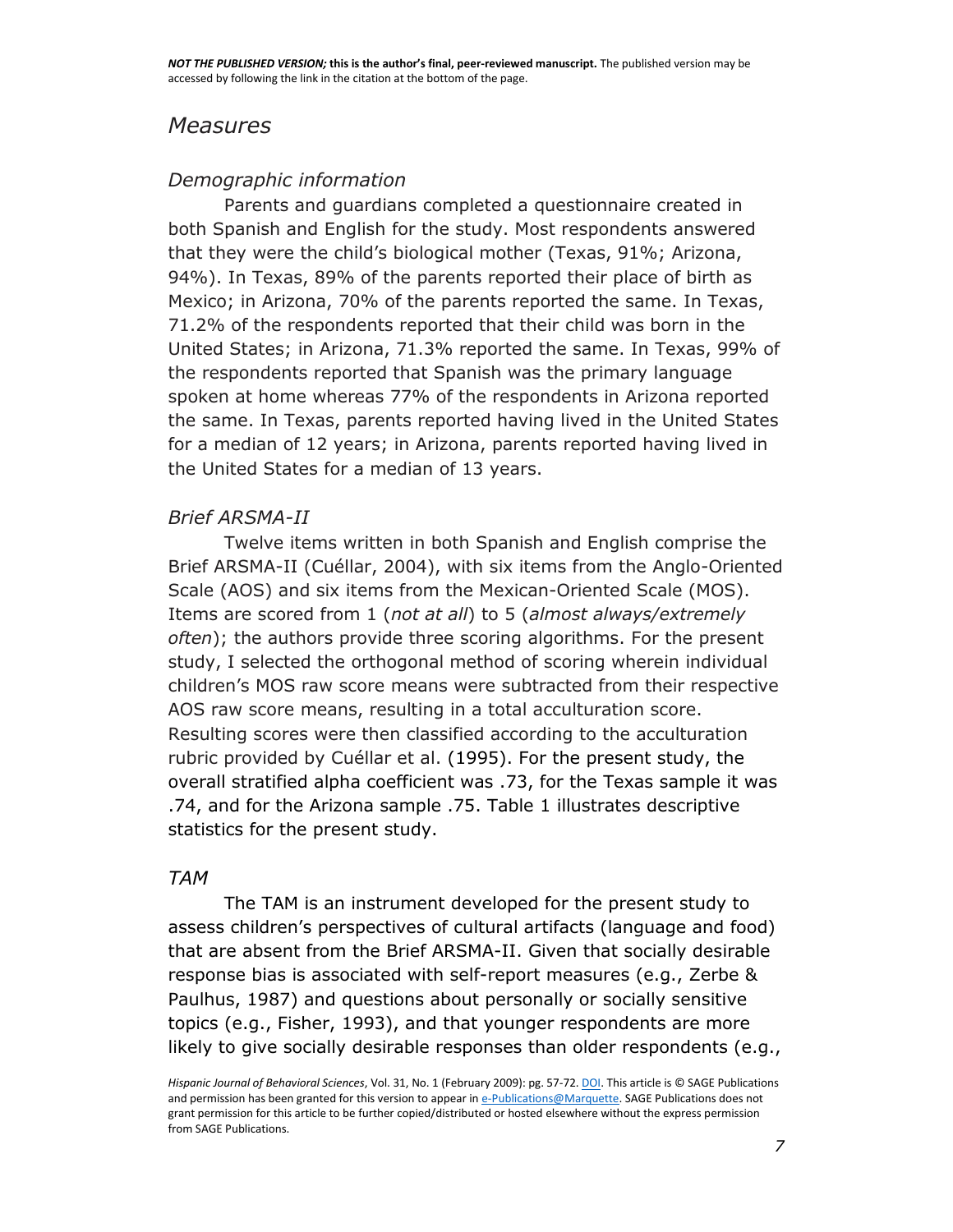### *Measures*

#### *Demographic information*

Parents and guardians completed a questionnaire created in both Spanish and English for the study. Most respondents answered that they were the child's biological mother (Texas, 91%; Arizona, 94%). In Texas, 89% of the parents reported their place of birth as Mexico; in Arizona, 70% of the parents reported the same. In Texas, 71.2% of the respondents reported that their child was born in the United States; in Arizona, 71.3% reported the same. In Texas, 99% of the respondents reported that Spanish was the primary language spoken at home whereas 77% of the respondents in Arizona reported the same. In Texas, parents reported having lived in the United States for a median of 12 years; in Arizona, parents reported having lived in the United States for a median of 13 years.

### *Brief ARSMA-II*

Twelve items written in both Spanish and English comprise the Brief ARSMA-II (Cuéllar, 2004), with six items from the Anglo-Oriented Scale (AOS) and six items from the Mexican-Oriented Scale (MOS). Items are scored from 1 (*not at all*) to 5 (*almost always/extremely often*); the authors provide three scoring algorithms. For the present study, I selected the orthogonal method of scoring wherein individual children's MOS raw score means were subtracted from their respective AOS raw score means, resulting in a total acculturation score. Resulting scores were then classified according to the acculturation rubric provided by Cuéllar et al. (1995). For the present study, the overall stratified alpha coefficient was .73, for the Texas sample it was .74, and for the Arizona sample .75. Table 1 illustrates descriptive statistics for the present study.

#### *TAM*

The TAM is an instrument developed for the present study to assess children's perspectives of cultural artifacts (language and food) that are absent from the Brief ARSMA-II. Given that socially desirable response bias is associated with self-report measures (e.g., Zerbe & Paulhus, 1987) and questions about personally or socially sensitive topics (e.g., Fisher, 1993), and that younger respondents are more likely to give socially desirable responses than older respondents (e.g.,

*Hispanic Journal of Behavioral Sciences*, Vol. 31, No. 1 (February 2009): pg. 57-72[. DOI.](http://dx.doi.org/10.1177/0739986308327958) This article is © SAGE Publications and permission has been granted for this version to appear i[n e-Publications@Marquette.](http://epublications.marquette.edu/) SAGE Publications does not grant permission for this article to be further copied/distributed or hosted elsewhere without the express permission from SAGE Publications.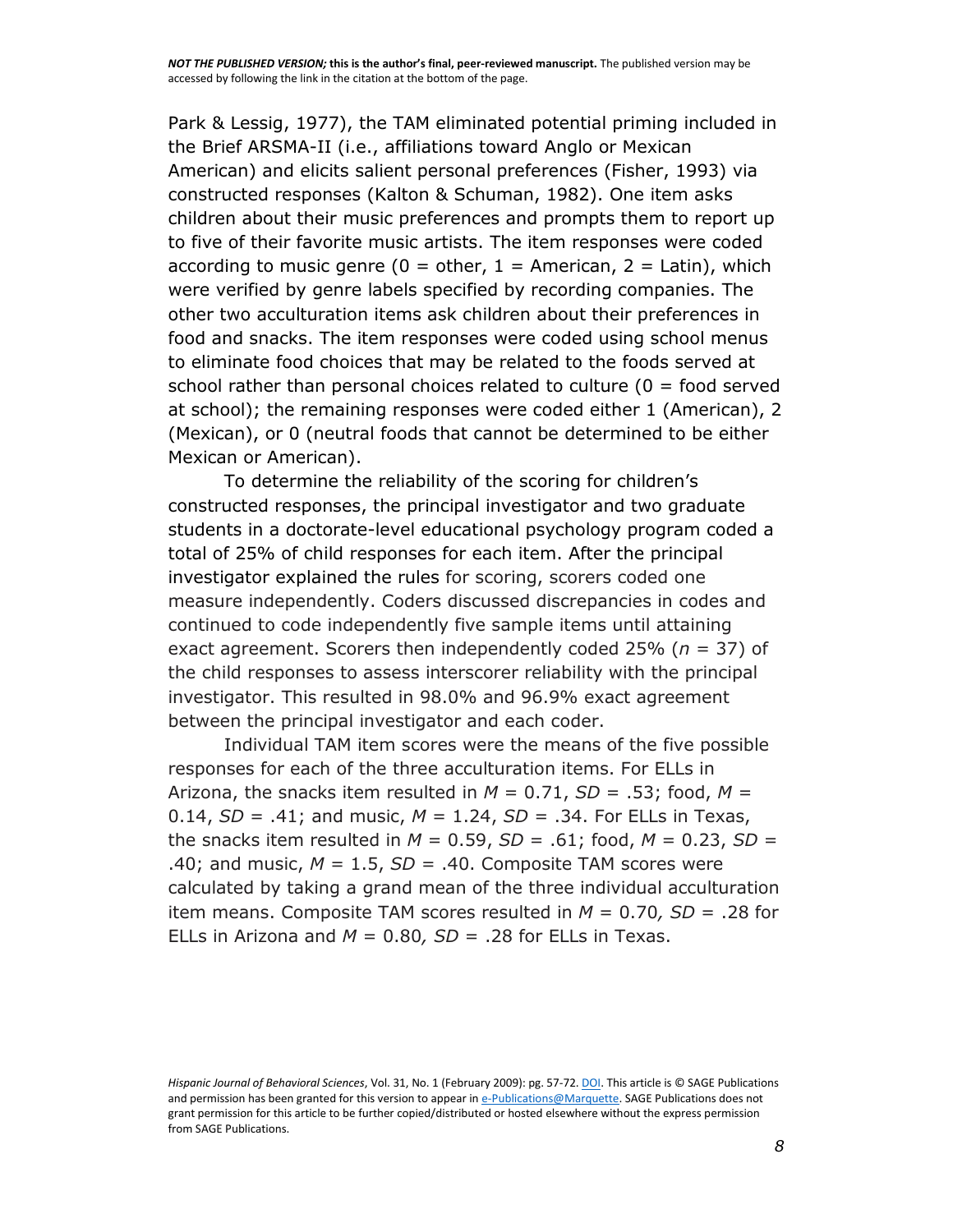Park & Lessig, 1977), the TAM eliminated potential priming included in the Brief ARSMA-II (i.e., affiliations toward Anglo or Mexican American) and elicits salient personal preferences (Fisher, 1993) via constructed responses (Kalton & Schuman, 1982). One item asks children about their music preferences and prompts them to report up to five of their favorite music artists. The item responses were coded according to music genre ( $0 =$  other,  $1 =$  American,  $2 =$  Latin), which were verified by genre labels specified by recording companies. The other two acculturation items ask children about their preferences in food and snacks. The item responses were coded using school menus to eliminate food choices that may be related to the foods served at school rather than personal choices related to culture  $(0 =$  food served at school); the remaining responses were coded either 1 (American), 2 (Mexican), or 0 (neutral foods that cannot be determined to be either Mexican or American).

To determine the reliability of the scoring for children's constructed responses, the principal investigator and two graduate students in a doctorate-level educational psychology program coded a total of 25% of child responses for each item. After the principal investigator explained the rules for scoring, scorers coded one measure independently. Coders discussed discrepancies in codes and continued to code independently five sample items until attaining exact agreement. Scorers then independently coded 25% (*n* = 37) of the child responses to assess interscorer reliability with the principal investigator. This resulted in 98.0% and 96.9% exact agreement between the principal investigator and each coder.

Individual TAM item scores were the means of the five possible responses for each of the three acculturation items. For ELLs in Arizona, the snacks item resulted in  $M = 0.71$ ,  $SD = .53$ ; food,  $M =$ 0.14, *SD* = .41; and music, *M* = 1.24, *SD* = .34. For ELLs in Texas, the snacks item resulted in *M* = 0.59, *SD* = .61; food, *M* = 0.23, *SD* = .40; and music, *M* = 1.5, *SD* = .40. Composite TAM scores were calculated by taking a grand mean of the three individual acculturation item means. Composite TAM scores resulted in *M* = 0.70*, SD* = .28 for ELLs in Arizona and  $M = 0.80$ ,  $SD = .28$  for ELLs in Texas.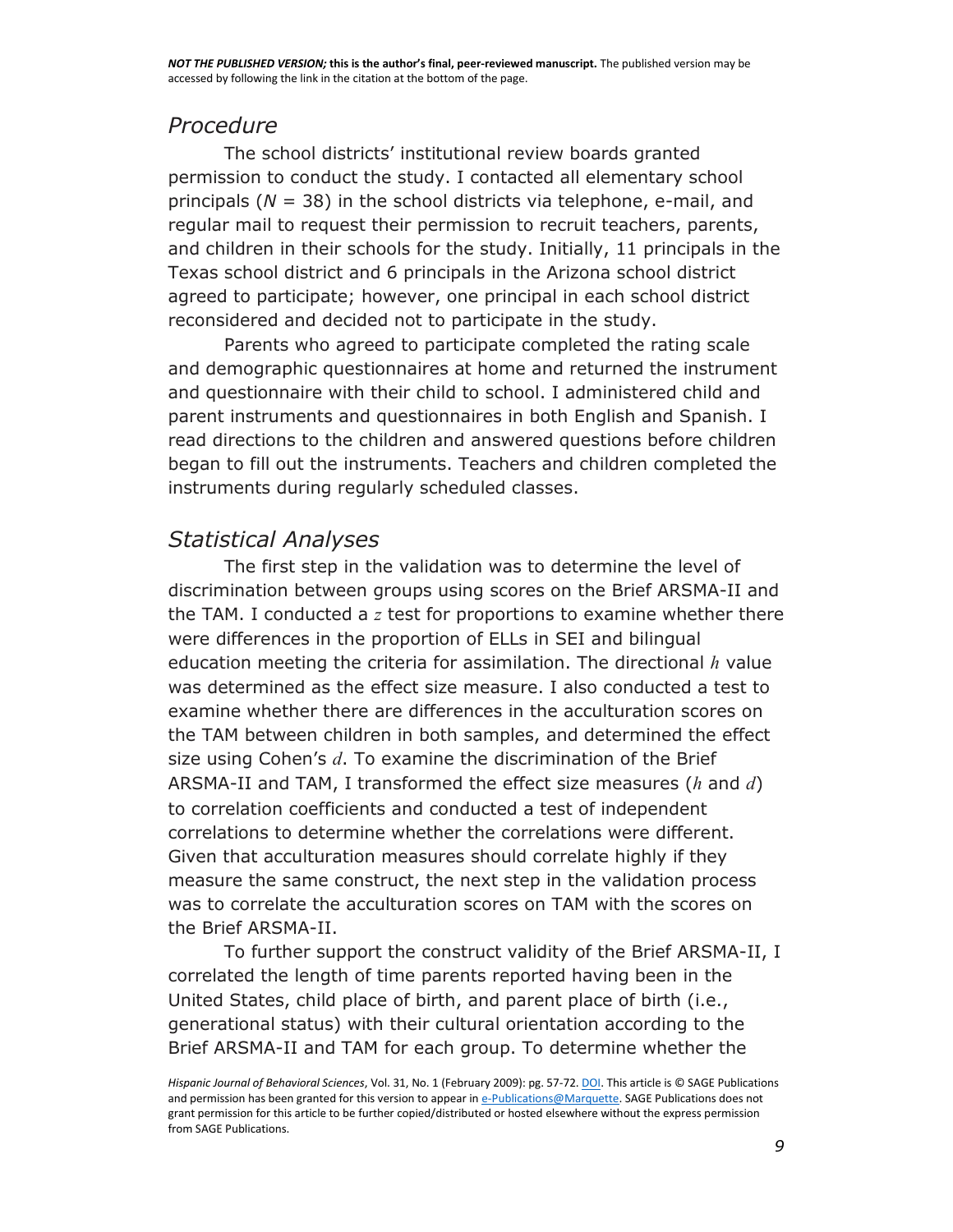### *Procedure*

The school districts' institutional review boards granted permission to conduct the study. I contacted all elementary school principals (*N* = 38) in the school districts via telephone, e-mail, and regular mail to request their permission to recruit teachers, parents, and children in their schools for the study. Initially, 11 principals in the Texas school district and 6 principals in the Arizona school district agreed to participate; however, one principal in each school district reconsidered and decided not to participate in the study.

Parents who agreed to participate completed the rating scale and demographic questionnaires at home and returned the instrument and questionnaire with their child to school. I administered child and parent instruments and questionnaires in both English and Spanish. I read directions to the children and answered questions before children began to fill out the instruments. Teachers and children completed the instruments during regularly scheduled classes.

# *Statistical Analyses*

The first step in the validation was to determine the level of discrimination between groups using scores on the Brief ARSMA-II and the TAM. I conducted a *z* test for proportions to examine whether there were differences in the proportion of ELLs in SEI and bilingual education meeting the criteria for assimilation. The directional *h* value was determined as the effect size measure. I also conducted a test to examine whether there are differences in the acculturation scores on the TAM between children in both samples, and determined the effect size using Cohen's *d*. To examine the discrimination of the Brief ARSMA-II and TAM, I transformed the effect size measures (*h* and *d*) to correlation coefficients and conducted a test of independent correlations to determine whether the correlations were different. Given that acculturation measures should correlate highly if they measure the same construct, the next step in the validation process was to correlate the acculturation scores on TAM with the scores on the Brief ARSMA-II.

To further support the construct validity of the Brief ARSMA-II, I correlated the length of time parents reported having been in the United States, child place of birth, and parent place of birth (i.e., generational status) with their cultural orientation according to the Brief ARSMA-II and TAM for each group. To determine whether the

*Hispanic Journal of Behavioral Sciences*, Vol. 31, No. 1 (February 2009): pg. 57-72[. DOI.](http://dx.doi.org/10.1177/0739986308327958) This article is © SAGE Publications and permission has been granted for this version to appear i[n e-Publications@Marquette.](http://epublications.marquette.edu/) SAGE Publications does not grant permission for this article to be further copied/distributed or hosted elsewhere without the express permission from SAGE Publications.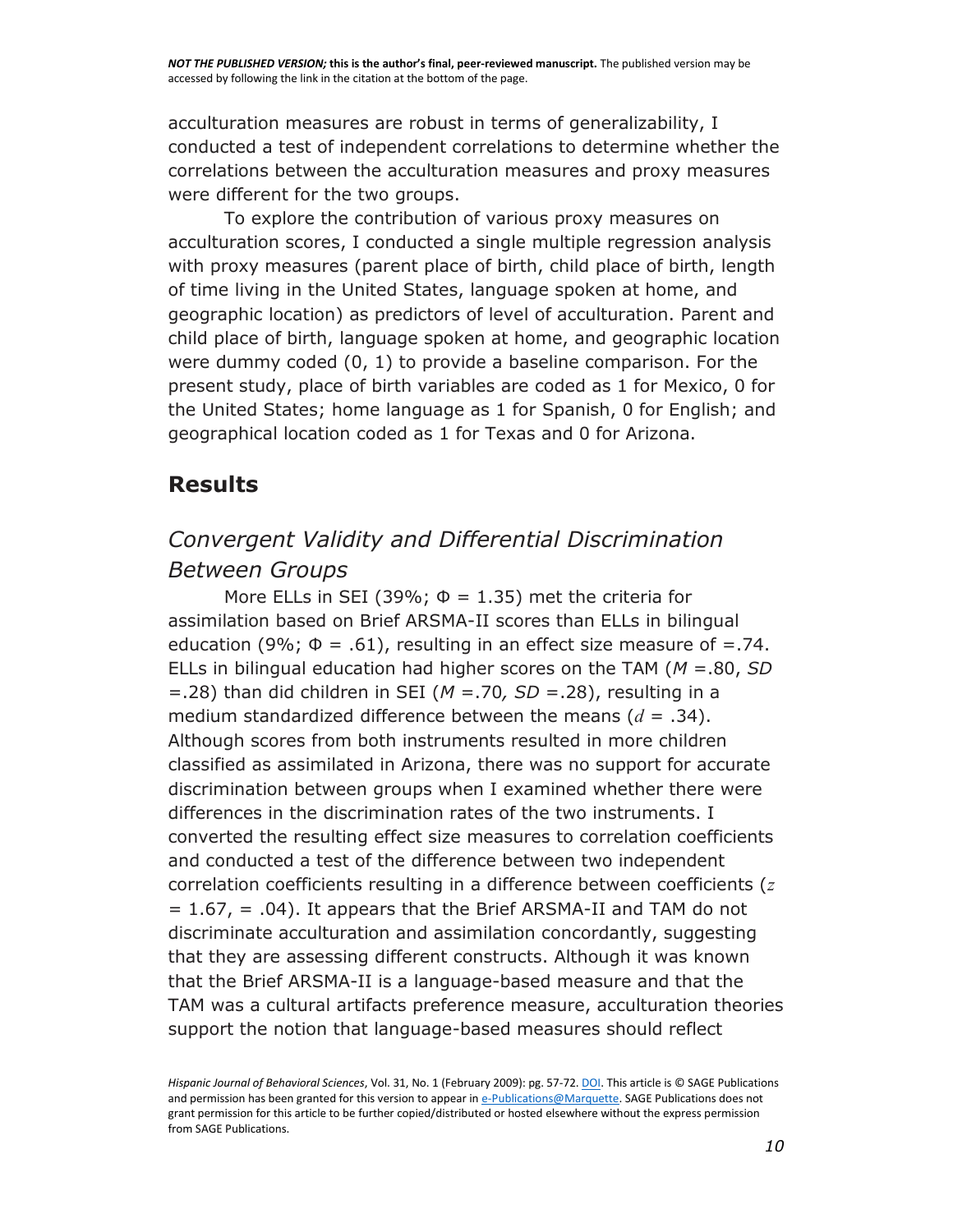acculturation measures are robust in terms of generalizability, I conducted a test of independent correlations to determine whether the correlations between the acculturation measures and proxy measures were different for the two groups.

To explore the contribution of various proxy measures on acculturation scores, I conducted a single multiple regression analysis with proxy measures (parent place of birth, child place of birth, length of time living in the United States, language spoken at home, and geographic location) as predictors of level of acculturation. Parent and child place of birth, language spoken at home, and geographic location were dummy coded (0, 1) to provide a baseline comparison. For the present study, place of birth variables are coded as 1 for Mexico, 0 for the United States; home language as 1 for Spanish, 0 for English; and geographical location coded as 1 for Texas and 0 for Arizona.

# **Results**

# *Convergent Validity and Differential Discrimination Between Groups*

More ELLs in SEI (39%;  $\Phi = 1.35$ ) met the criteria for assimilation based on Brief ARSMA-II scores than ELLs in bilingual education (9%;  $\Phi = .61$ ), resulting in an effect size measure of =.74. ELLs in bilingual education had higher scores on the TAM (*M* =.80, *SD*  =.28) than did children in SEI (*M* =.70*, SD* =.28), resulting in a medium standardized difference between the means  $(d = .34)$ . Although scores from both instruments resulted in more children classified as assimilated in Arizona, there was no support for accurate discrimination between groups when I examined whether there were differences in the discrimination rates of the two instruments. I converted the resulting effect size measures to correlation coefficients and conducted a test of the difference between two independent correlation coefficients resulting in a difference between coefficients (*z*  $= 1.67$ ,  $= .04$ ). It appears that the Brief ARSMA-II and TAM do not discriminate acculturation and assimilation concordantly, suggesting that they are assessing different constructs. Although it was known that the Brief ARSMA-II is a language-based measure and that the TAM was a cultural artifacts preference measure, acculturation theories support the notion that language-based measures should reflect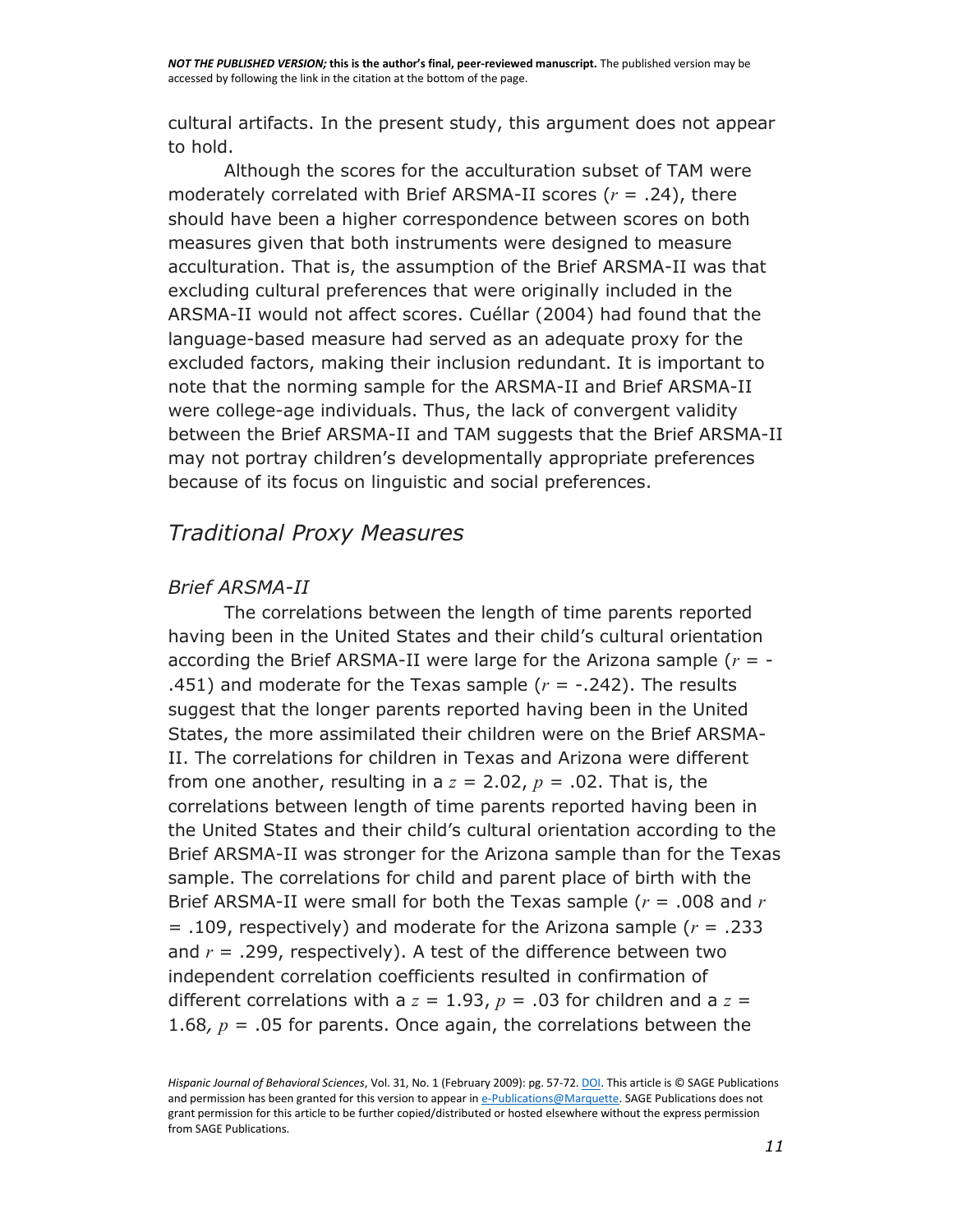cultural artifacts. In the present study, this argument does not appear to hold.

Although the scores for the acculturation subset of TAM were moderately correlated with Brief ARSMA-II scores (*r* = .24), there should have been a higher correspondence between scores on both measures given that both instruments were designed to measure acculturation. That is, the assumption of the Brief ARSMA-II was that excluding cultural preferences that were originally included in the ARSMA-II would not affect scores. Cuéllar (2004) had found that the language-based measure had served as an adequate proxy for the excluded factors, making their inclusion redundant. It is important to note that the norming sample for the ARSMA-II and Brief ARSMA-II were college-age individuals. Thus, the lack of convergent validity between the Brief ARSMA-II and TAM suggests that the Brief ARSMA-II may not portray children's developmentally appropriate preferences because of its focus on linguistic and social preferences.

### *Traditional Proxy Measures*

### *Brief ARSMA-II*

The correlations between the length of time parents reported having been in the United States and their child's cultural orientation according the Brief ARSMA-II were large for the Arizona sample (*r* = - .451) and moderate for the Texas sample  $(r = -0.242)$ . The results suggest that the longer parents reported having been in the United States, the more assimilated their children were on the Brief ARSMA-II. The correlations for children in Texas and Arizona were different from one another, resulting in a  $z = 2.02$ ,  $p = .02$ . That is, the correlations between length of time parents reported having been in the United States and their child's cultural orientation according to the Brief ARSMA-II was stronger for the Arizona sample than for the Texas sample. The correlations for child and parent place of birth with the Brief ARSMA-II were small for both the Texas sample (*r* = .008 and *r* = .109, respectively) and moderate for the Arizona sample (*r* = .233 and  $r = 0.299$ , respectively). A test of the difference between two independent correlation coefficients resulted in confirmation of different correlations with a  $z = 1.93$ ,  $p = .03$  for children and a  $z =$ 1.68,  $p = 0.05$  for parents. Once again, the correlations between the

*Hispanic Journal of Behavioral Sciences*, Vol. 31, No. 1 (February 2009): pg. 57-72[. DOI.](http://dx.doi.org/10.1177/0739986308327958) This article is © SAGE Publications and permission has been granted for this version to appear i[n e-Publications@Marquette.](http://epublications.marquette.edu/) SAGE Publications does not grant permission for this article to be further copied/distributed or hosted elsewhere without the express permission from SAGE Publications.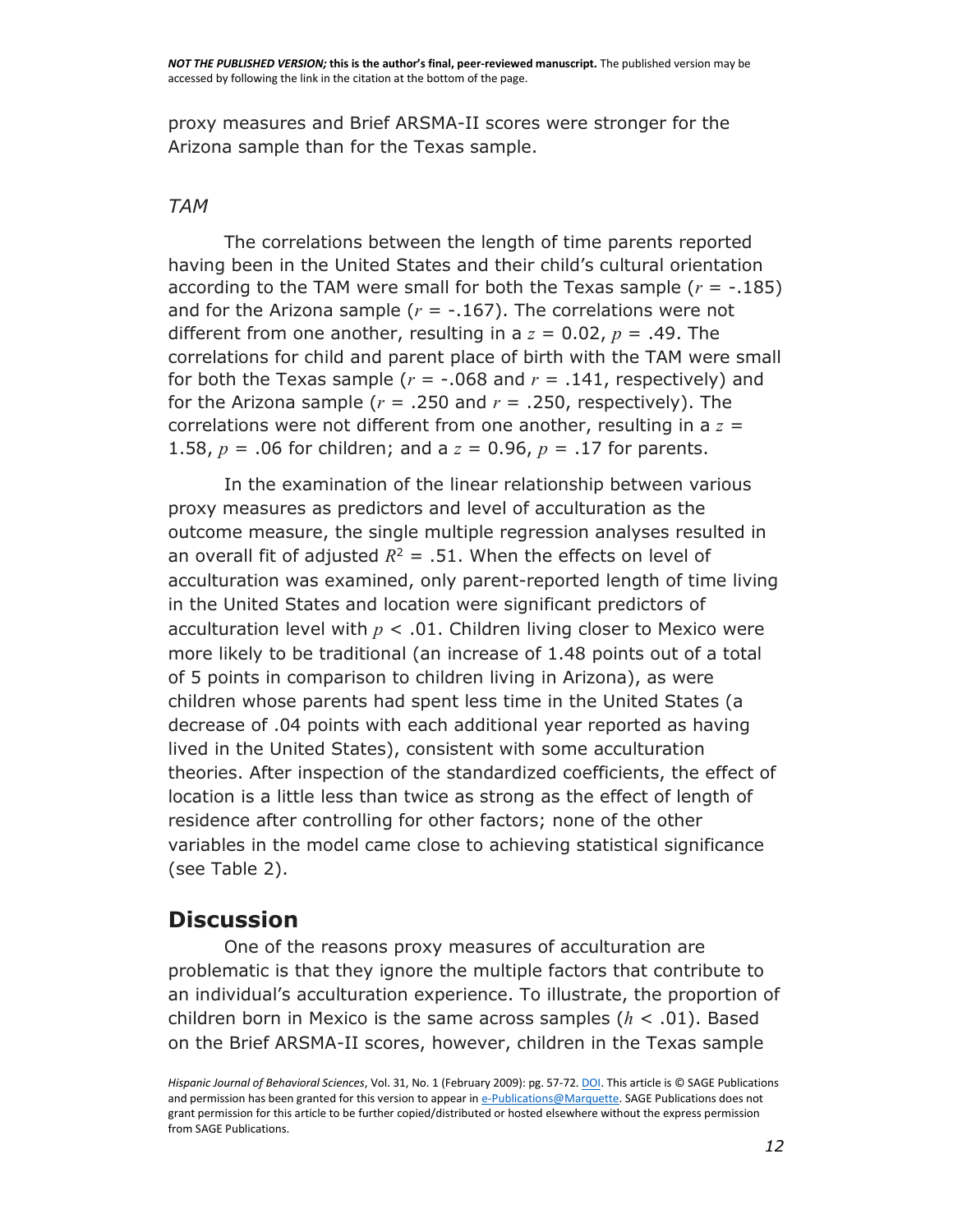proxy measures and Brief ARSMA-II scores were stronger for the Arizona sample than for the Texas sample.

#### *TAM*

The correlations between the length of time parents reported having been in the United States and their child's cultural orientation according to the TAM were small for both the Texas sample (*r* = -.185) and for the Arizona sample ( $r = -0.167$ ). The correlations were not different from one another, resulting in a  $z = 0.02$ ,  $p = .49$ . The correlations for child and parent place of birth with the TAM were small for both the Texas sample ( $r = -068$  and  $r = 0.141$ , respectively) and for the Arizona sample ( $r = .250$  and  $r = .250$ , respectively). The correlations were not different from one another, resulting in a *z* = 1.58, *p* = .06 for children; and a *z* = 0.96, *p* = .17 for parents.

In the examination of the linear relationship between various proxy measures as predictors and level of acculturation as the outcome measure, the single multiple regression analyses resulted in an overall fit of adjusted  $R^2 = .51$ . When the effects on level of acculturation was examined, only parent-reported length of time living in the United States and location were significant predictors of acculturation level with *p* < .01. Children living closer to Mexico were more likely to be traditional (an increase of 1.48 points out of a total of 5 points in comparison to children living in Arizona), as were children whose parents had spent less time in the United States (a decrease of .04 points with each additional year reported as having lived in the United States), consistent with some acculturation theories. After inspection of the standardized coefficients, the effect of location is a little less than twice as strong as the effect of length of residence after controlling for other factors; none of the other variables in the model came close to achieving statistical significance (see Table 2).

### **Discussion**

One of the reasons proxy measures of acculturation are problematic is that they ignore the multiple factors that contribute to an individual's acculturation experience. To illustrate, the proportion of children born in Mexico is the same across samples (*h* < .01). Based on the Brief ARSMA-II scores, however, children in the Texas sample

*Hispanic Journal of Behavioral Sciences*, Vol. 31, No. 1 (February 2009): pg. 57-72[. DOI.](http://dx.doi.org/10.1177/0739986308327958) This article is © SAGE Publications and permission has been granted for this version to appear i[n e-Publications@Marquette.](http://epublications.marquette.edu/) SAGE Publications does not grant permission for this article to be further copied/distributed or hosted elsewhere without the express permission from SAGE Publications.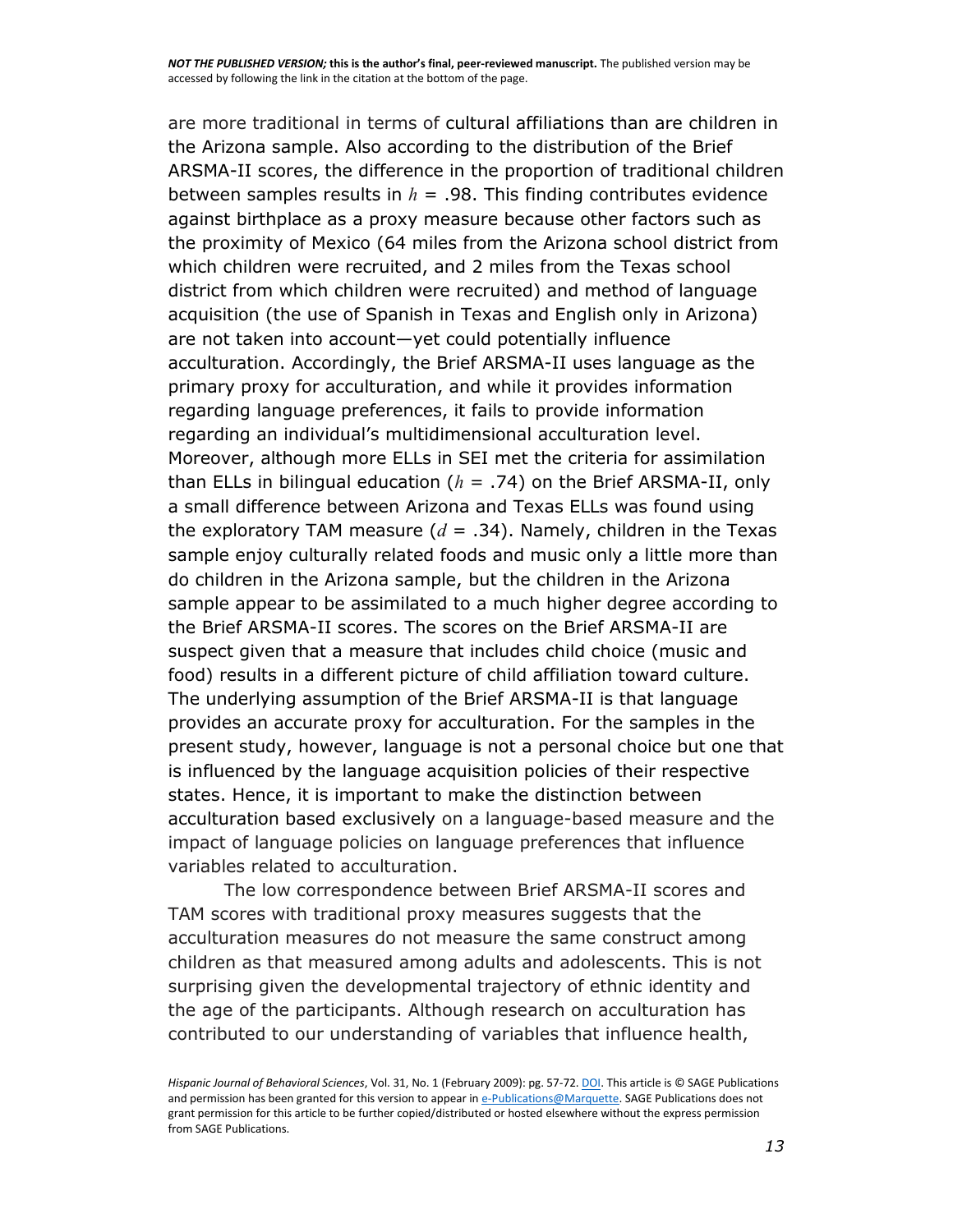are more traditional in terms of cultural affiliations than are children in the Arizona sample. Also according to the distribution of the Brief ARSMA-II scores, the difference in the proportion of traditional children between samples results in  $h = .98$ . This finding contributes evidence against birthplace as a proxy measure because other factors such as the proximity of Mexico (64 miles from the Arizona school district from which children were recruited, and 2 miles from the Texas school district from which children were recruited) and method of language acquisition (the use of Spanish in Texas and English only in Arizona) are not taken into account—yet could potentially influence acculturation. Accordingly, the Brief ARSMA-II uses language as the primary proxy for acculturation, and while it provides information regarding language preferences, it fails to provide information regarding an individual's multidimensional acculturation level. Moreover, although more ELLs in SEI met the criteria for assimilation than ELLs in bilingual education (*h* = .74) on the Brief ARSMA-II, only a small difference between Arizona and Texas ELLs was found using the exploratory TAM measure  $(d = .34)$ . Namely, children in the Texas sample enjoy culturally related foods and music only a little more than do children in the Arizona sample, but the children in the Arizona sample appear to be assimilated to a much higher degree according to the Brief ARSMA-II scores. The scores on the Brief ARSMA-II are suspect given that a measure that includes child choice (music and food) results in a different picture of child affiliation toward culture. The underlying assumption of the Brief ARSMA-II is that language provides an accurate proxy for acculturation. For the samples in the present study, however, language is not a personal choice but one that is influenced by the language acquisition policies of their respective states. Hence, it is important to make the distinction between acculturation based exclusively on a language-based measure and the impact of language policies on language preferences that influence variables related to acculturation.

The low correspondence between Brief ARSMA-II scores and TAM scores with traditional proxy measures suggests that the acculturation measures do not measure the same construct among children as that measured among adults and adolescents. This is not surprising given the developmental trajectory of ethnic identity and the age of the participants. Although research on acculturation has contributed to our understanding of variables that influence health,

*Hispanic Journal of Behavioral Sciences*, Vol. 31, No. 1 (February 2009): pg. 57-72[. DOI.](http://dx.doi.org/10.1177/0739986308327958) This article is © SAGE Publications and permission has been granted for this version to appear i[n e-Publications@Marquette.](http://epublications.marquette.edu/) SAGE Publications does not grant permission for this article to be further copied/distributed or hosted elsewhere without the express permission from SAGE Publications.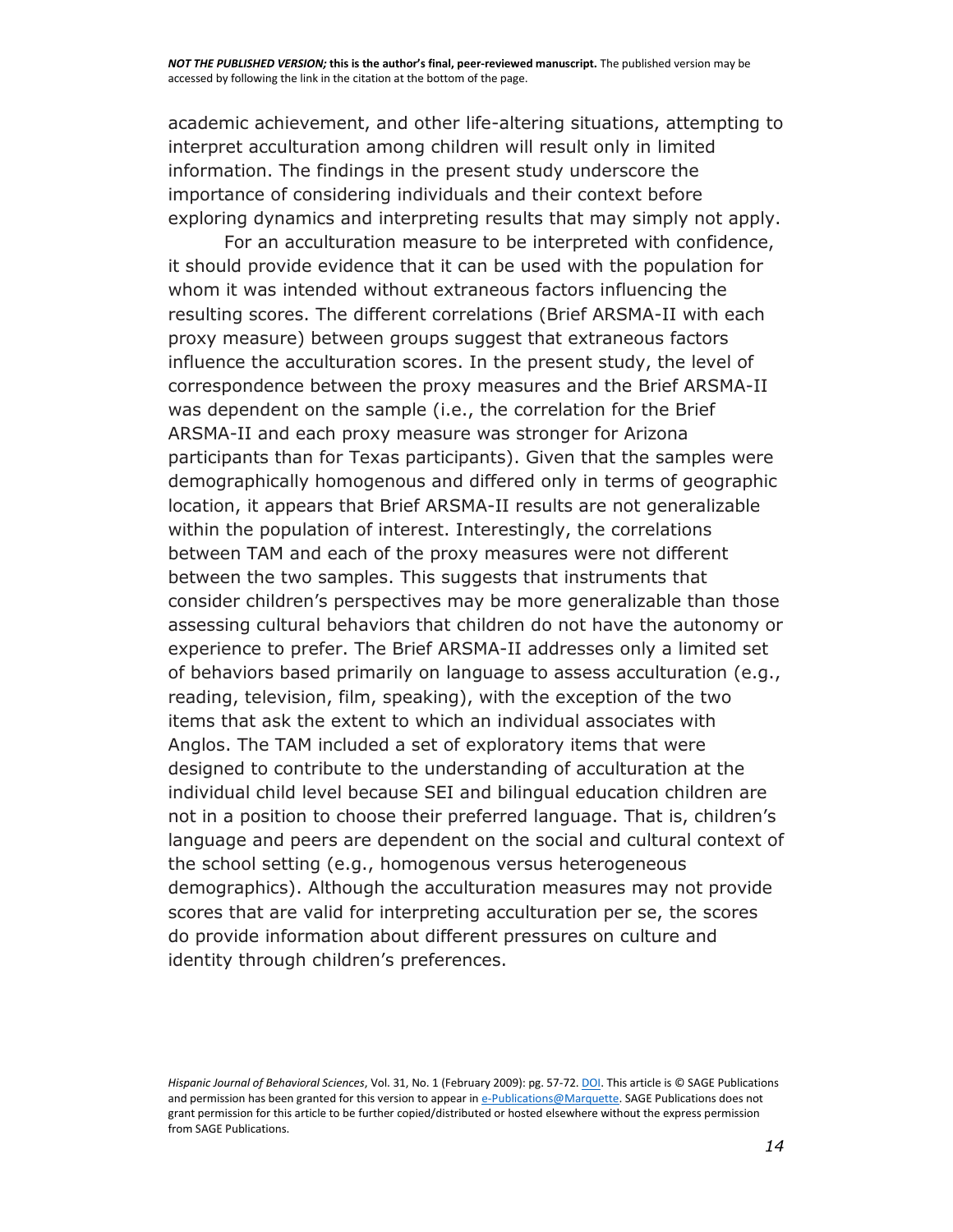academic achievement, and other life-altering situations, attempting to interpret acculturation among children will result only in limited information. The findings in the present study underscore the importance of considering individuals and their context before exploring dynamics and interpreting results that may simply not apply.

For an acculturation measure to be interpreted with confidence, it should provide evidence that it can be used with the population for whom it was intended without extraneous factors influencing the resulting scores. The different correlations (Brief ARSMA-II with each proxy measure) between groups suggest that extraneous factors influence the acculturation scores. In the present study, the level of correspondence between the proxy measures and the Brief ARSMA-II was dependent on the sample (i.e., the correlation for the Brief ARSMA-II and each proxy measure was stronger for Arizona participants than for Texas participants). Given that the samples were demographically homogenous and differed only in terms of geographic location, it appears that Brief ARSMA-II results are not generalizable within the population of interest. Interestingly, the correlations between TAM and each of the proxy measures were not different between the two samples. This suggests that instruments that consider children's perspectives may be more generalizable than those assessing cultural behaviors that children do not have the autonomy or experience to prefer. The Brief ARSMA-II addresses only a limited set of behaviors based primarily on language to assess acculturation (e.g., reading, television, film, speaking), with the exception of the two items that ask the extent to which an individual associates with Anglos. The TAM included a set of exploratory items that were designed to contribute to the understanding of acculturation at the individual child level because SEI and bilingual education children are not in a position to choose their preferred language. That is, children's language and peers are dependent on the social and cultural context of the school setting (e.g., homogenous versus heterogeneous demographics). Although the acculturation measures may not provide scores that are valid for interpreting acculturation per se, the scores do provide information about different pressures on culture and identity through children's preferences.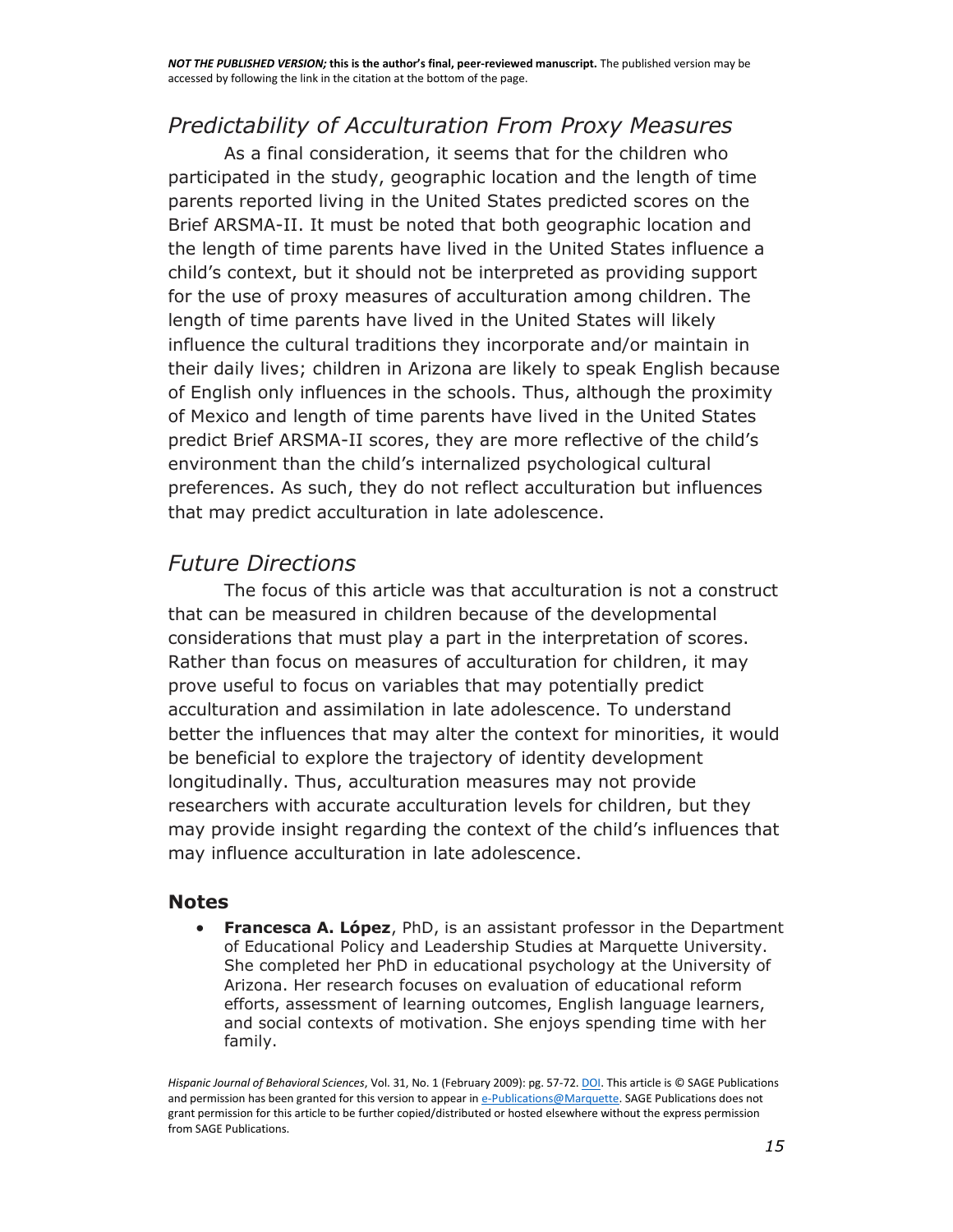# *Predictability of Acculturation From Proxy Measures*

As a final consideration, it seems that for the children who participated in the study, geographic location and the length of time parents reported living in the United States predicted scores on the Brief ARSMA-II. It must be noted that both geographic location and the length of time parents have lived in the United States influence a child's context, but it should not be interpreted as providing support for the use of proxy measures of acculturation among children. The length of time parents have lived in the United States will likely influence the cultural traditions they incorporate and/or maintain in their daily lives; children in Arizona are likely to speak English because of English only influences in the schools. Thus, although the proximity of Mexico and length of time parents have lived in the United States predict Brief ARSMA-II scores, they are more reflective of the child's environment than the child's internalized psychological cultural preferences. As such, they do not reflect acculturation but influences that may predict acculturation in late adolescence.

# *Future Directions*

The focus of this article was that acculturation is not a construct that can be measured in children because of the developmental considerations that must play a part in the interpretation of scores. Rather than focus on measures of acculturation for children, it may prove useful to focus on variables that may potentially predict acculturation and assimilation in late adolescence. To understand better the influences that may alter the context for minorities, it would be beneficial to explore the trajectory of identity development longitudinally. Thus, acculturation measures may not provide researchers with accurate acculturation levels for children, but they may provide insight regarding the context of the child's influences that may influence acculturation in late adolescence.

### **Notes**

 **Francesca A. López**, PhD, is an assistant professor in the Department of Educational Policy and Leadership Studies at Marquette University. She completed her PhD in educational psychology at the University of Arizona. Her research focuses on evaluation of educational reform efforts, assessment of learning outcomes, English language learners, and social contexts of motivation. She enjoys spending time with her family.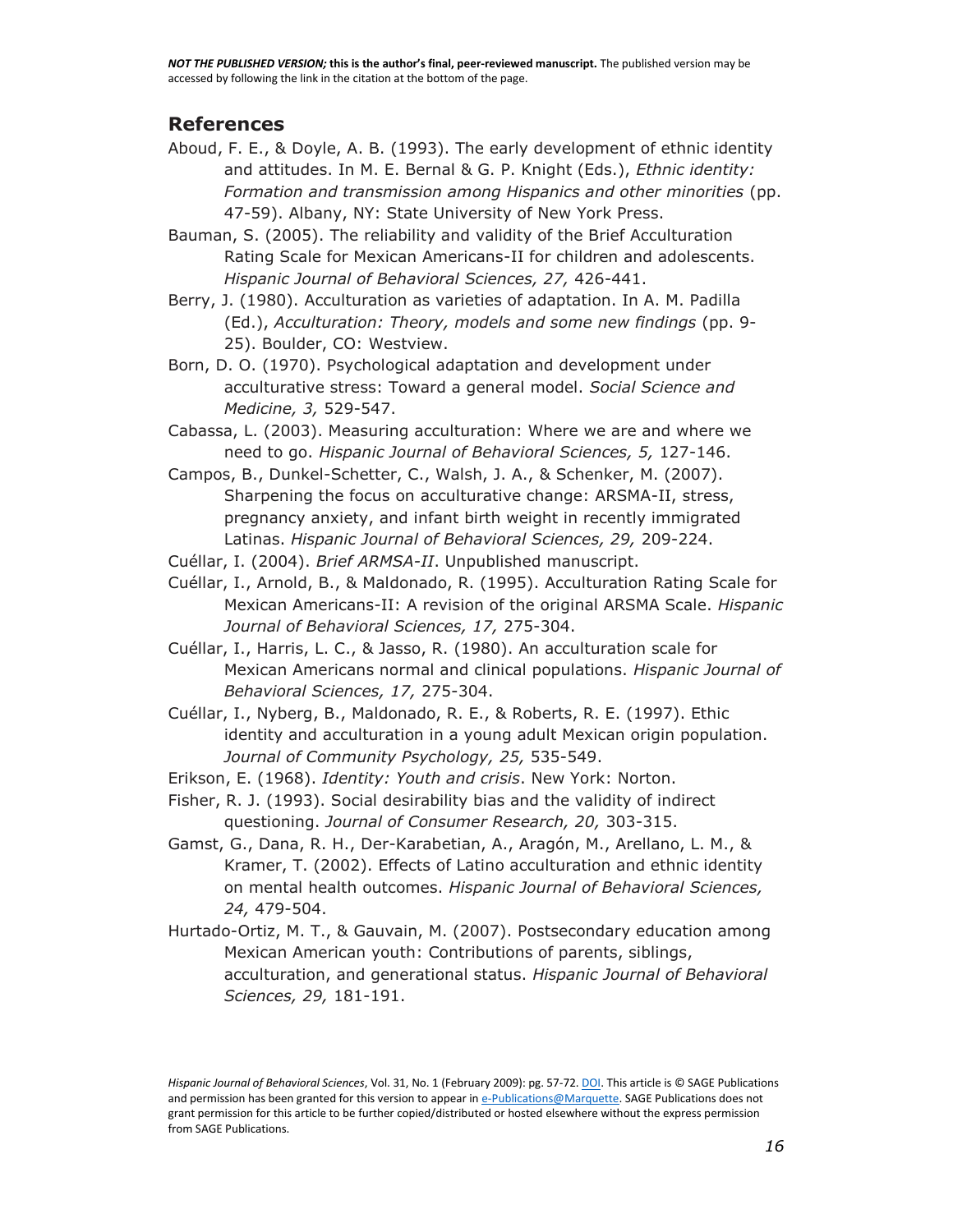*NOT THE PUBLISHED VERSION;* **this is the author's final, peer-reviewed manuscript.** The published version may be accessed by following the link in the citation at the bottom of the page.

#### **References**

- Aboud, F. E., & Doyle, A. B. (1993). The early development of ethnic identity and attitudes. In M. E. Bernal & G. P. Knight (Eds.), *Ethnic identity: Formation and transmission among Hispanics and other minorities* (pp. 47-59). Albany, NY: State University of New York Press.
- Bauman, S. (2005). The reliability and validity of the Brief Acculturation Rating Scale for Mexican Americans-II for children and adolescents. *Hispanic Journal of Behavioral Sciences, 27,* 426-441.
- Berry, J. (1980). Acculturation as varieties of adaptation. In A. M. Padilla (Ed.), *Acculturation: Theory, models and some new findings* (pp. 9- 25). Boulder, CO: Westview.
- Born, D. O. (1970). Psychological adaptation and development under acculturative stress: Toward a general model. *Social Science and Medicine, 3,* 529-547.
- Cabassa, L. (2003). Measuring acculturation: Where we are and where we need to go. *Hispanic Journal of Behavioral Sciences, 5,* 127-146.
- Campos, B., Dunkel-Schetter, C., Walsh, J. A., & Schenker, M. (2007). Sharpening the focus on acculturative change: ARSMA-II, stress, pregnancy anxiety, and infant birth weight in recently immigrated Latinas. *Hispanic Journal of Behavioral Sciences, 29,* 209-224.
- Cuéllar, I. (2004). *Brief ARMSA-II*. Unpublished manuscript.
- Cuéllar, I., Arnold, B., & Maldonado, R. (1995). Acculturation Rating Scale for Mexican Americans-II: A revision of the original ARSMA Scale. *Hispanic Journal of Behavioral Sciences, 17,* 275-304.
- Cuéllar, I., Harris, L. C., & Jasso, R. (1980). An acculturation scale for Mexican Americans normal and clinical populations. *Hispanic Journal of Behavioral Sciences, 17,* 275-304.
- Cuéllar, I., Nyberg, B., Maldonado, R. E., & Roberts, R. E. (1997). Ethic identity and acculturation in a young adult Mexican origin population. *Journal of Community Psychology, 25,* 535-549.
- Erikson, E. (1968). *Identity: Youth and crisis*. New York: Norton.
- Fisher, R. J. (1993). Social desirability bias and the validity of indirect questioning. *Journal of Consumer Research, 20,* 303-315.
- Gamst, G., Dana, R. H., Der-Karabetian, A., Aragón, M., Arellano, L. M., & Kramer, T. (2002). Effects of Latino acculturation and ethnic identity on mental health outcomes. *Hispanic Journal of Behavioral Sciences, 24,* 479-504.
- Hurtado-Ortiz, M. T., & Gauvain, M. (2007). Postsecondary education among Mexican American youth: Contributions of parents, siblings, acculturation, and generational status. *Hispanic Journal of Behavioral Sciences, 29,* 181-191.

*Hispanic Journal of Behavioral Sciences*, Vol. 31, No. 1 (February 2009): pg. 57-72[. DOI.](http://dx.doi.org/10.1177/0739986308327958) This article is © SAGE Publications and permission has been granted for this version to appear i[n e-Publications@Marquette.](http://epublications.marquette.edu/) SAGE Publications does not grant permission for this article to be further copied/distributed or hosted elsewhere without the express permission from SAGE Publications.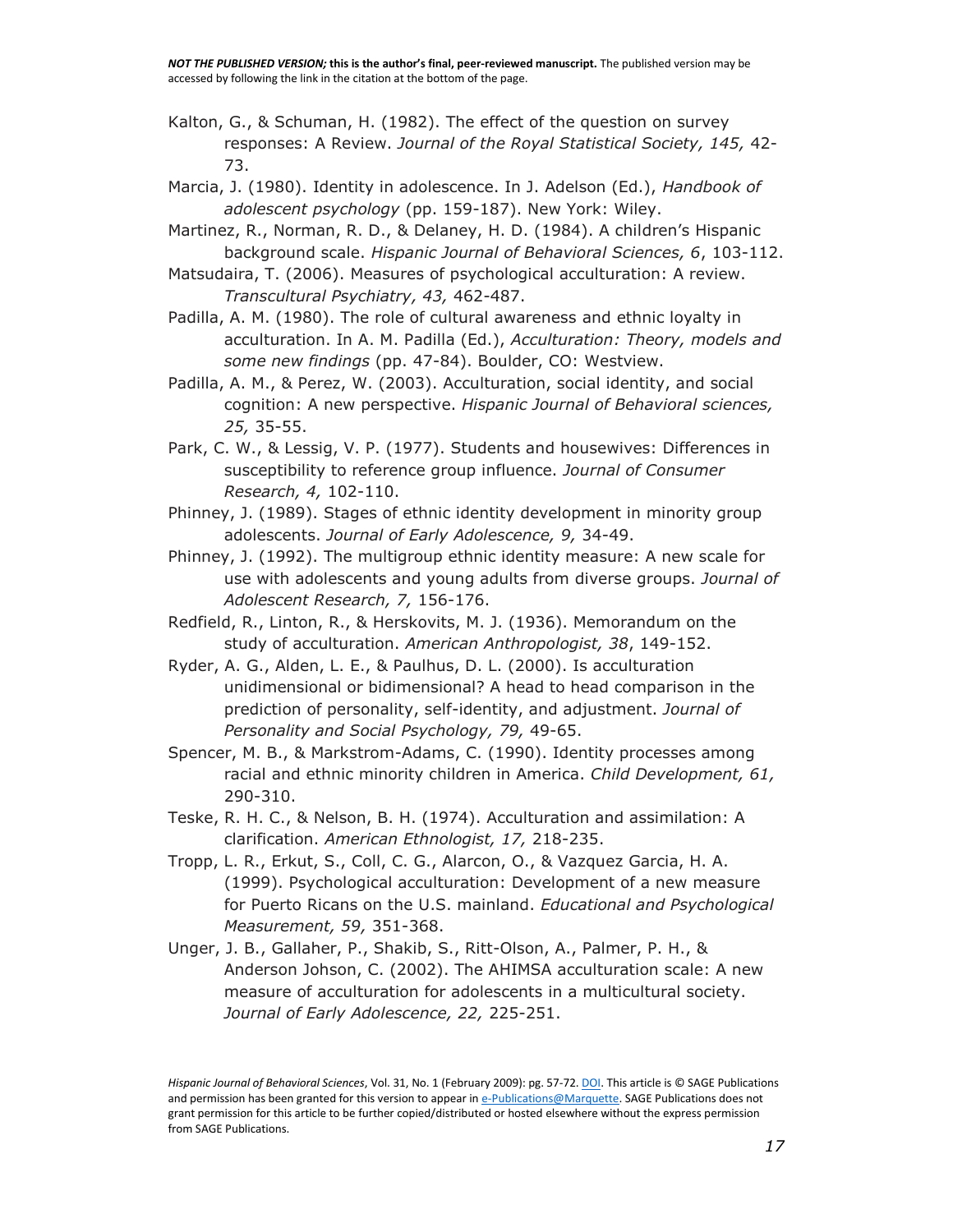*NOT THE PUBLISHED VERSION;* **this is the author's final, peer-reviewed manuscript.** The published version may be accessed by following the link in the citation at the bottom of the page.

- Kalton, G., & Schuman, H. (1982). The effect of the question on survey responses: A Review. *Journal of the Royal Statistical Society, 145,* 42- 73.
- Marcia, J. (1980). Identity in adolescence. In J. Adelson (Ed.), *Handbook of adolescent psychology* (pp. 159-187). New York: Wiley.
- Martinez, R., Norman, R. D., & Delaney, H. D. (1984). A children's Hispanic background scale. *Hispanic Journal of Behavioral Sciences, 6*, 103-112.
- Matsudaira, T. (2006). Measures of psychological acculturation: A review. *Transcultural Psychiatry, 43,* 462-487.
- Padilla, A. M. (1980). The role of cultural awareness and ethnic loyalty in acculturation. In A. M. Padilla (Ed.), *Acculturation: Theory, models and some new findings* (pp. 47-84). Boulder, CO: Westview.
- Padilla, A. M., & Perez, W. (2003). Acculturation, social identity, and social cognition: A new perspective. *Hispanic Journal of Behavioral sciences, 25,* 35-55.
- Park, C. W., & Lessig, V. P. (1977). Students and housewives: Differences in susceptibility to reference group influence. *Journal of Consumer Research, 4,* 102-110.
- Phinney, J. (1989). Stages of ethnic identity development in minority group adolescents. *Journal of Early Adolescence, 9,* 34-49.
- Phinney, J. (1992). The multigroup ethnic identity measure: A new scale for use with adolescents and young adults from diverse groups. *Journal of Adolescent Research, 7,* 156-176.
- Redfield, R., Linton, R., & Herskovits, M. J. (1936). Memorandum on the study of acculturation. *American Anthropologist, 38*, 149-152.
- Ryder, A. G., Alden, L. E., & Paulhus, D. L. (2000). Is acculturation unidimensional or bidimensional? A head to head comparison in the prediction of personality, self-identity, and adjustment. *Journal of Personality and Social Psychology, 79,* 49-65.
- Spencer, M. B., & Markstrom-Adams, C. (1990). Identity processes among racial and ethnic minority children in America. *Child Development, 61,*  290-310.
- Teske, R. H. C., & Nelson, B. H. (1974). Acculturation and assimilation: A clarification. *American Ethnologist, 17,* 218-235.
- Tropp, L. R., Erkut, S., Coll, C. G., Alarcon, O., & Vazquez Garcia, H. A. (1999). Psychological acculturation: Development of a new measure for Puerto Ricans on the U.S. mainland. *Educational and Psychological Measurement, 59,* 351-368.
- Unger, J. B., Gallaher, P., Shakib, S., Ritt-Olson, A., Palmer, P. H., & Anderson Johson, C. (2002). The AHIMSA acculturation scale: A new measure of acculturation for adolescents in a multicultural society. *Journal of Early Adolescence, 22,* 225-251.

*Hispanic Journal of Behavioral Sciences*, Vol. 31, No. 1 (February 2009): pg. 57-72[. DOI.](http://dx.doi.org/10.1177/0739986308327958) This article is © SAGE Publications and permission has been granted for this version to appear i[n e-Publications@Marquette.](http://epublications.marquette.edu/) SAGE Publications does not grant permission for this article to be further copied/distributed or hosted elsewhere without the express permission from SAGE Publications.